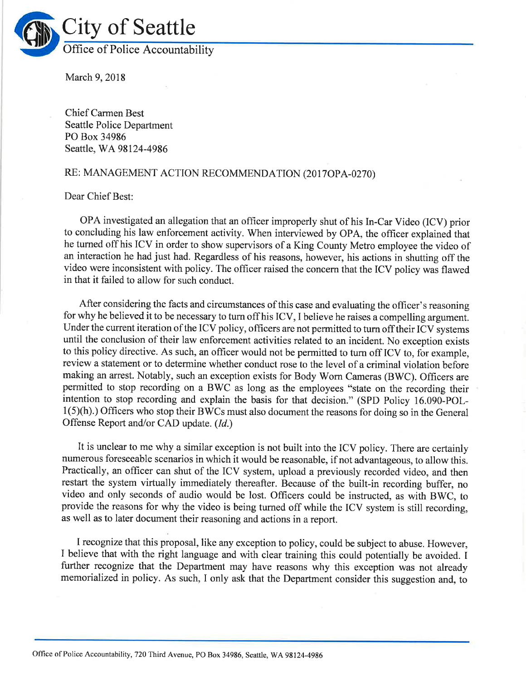

March 9, 2018

Chief Carmen Best Seattle Police Department PO Box 34986 Seattle, WA 98124-4986

## RE: MANAGEMENT ACTION RECOMMENDATION (2017OPA-0270)

## Dear Chief Best:

OPA investigated an allegation that an officer improperly shut of his In-Car Video (ICV) prior to concluding his law enforcement activity. When interviewed by OPA, the officer explained that he turned off his ICV in order to show supervisors of a King County Metro employee the video of an interaction he had just had. Regardless of his reasons, however, his actions in shutting off the video were inconsistent with policy. The officer raised the concern that the ICV policy was flawed in that it failed to allow for such conduct.

After considering the facts and circumstances of this case and evaluating the officer's reasoning for why he believed it to be necessary to turn off his ICV, I believe he raises a compelling argument. Under the current iteration of the ICV policy, officers are not permitted to turn off their ICV systems until the conclusion of their law enforcement activities related to an incident. No exception exists to this policy directive. As such, an officer would not be permitted to turn off ICV to, for example, review a statement or to determine whether conduct rose to the level of a criminal violation before making an arrest. Notably, such an exception exists for Body Worn Cameras (BWC). Officers are permitted to stop recording on a BWC as long as the employees "state on the recording their intention to stop recording and explain the basis for that decision." (SPD Policy 16.090-POL- $1(5)(h)$ .) Officers who stop their BWCs must also document the reasons for doing so in the General Offense Report and/or CAD update. (Id.)

It is unclear to me why a similar exception is not built into the ICV policy. There are certainly numerous foreseeable scenarios in which it would be reasonable, if not advantageous, to allow this. Practically, an officer can shut of the ICV system, upload a previously recorded video, and then restart the system virtually immediately thereafter. Because of the built-in recording buffer, no video and only seconds of audio would be lost. Officers could be instructed, as with BWC, to provide the reasons for why the video is being turned off while the ICV system is still recording, as well as to later document their reasoning and actions in a report.

I recognize that this proposal, like any exception to policy, could be subject to abuse. However, I believe that with the right language and with clear training this could potentially be avoided. I further recognize that the Department may have reasons why this exception was not already memorialized in policy. As such, I only ask that the Department consider this suggestion and, to